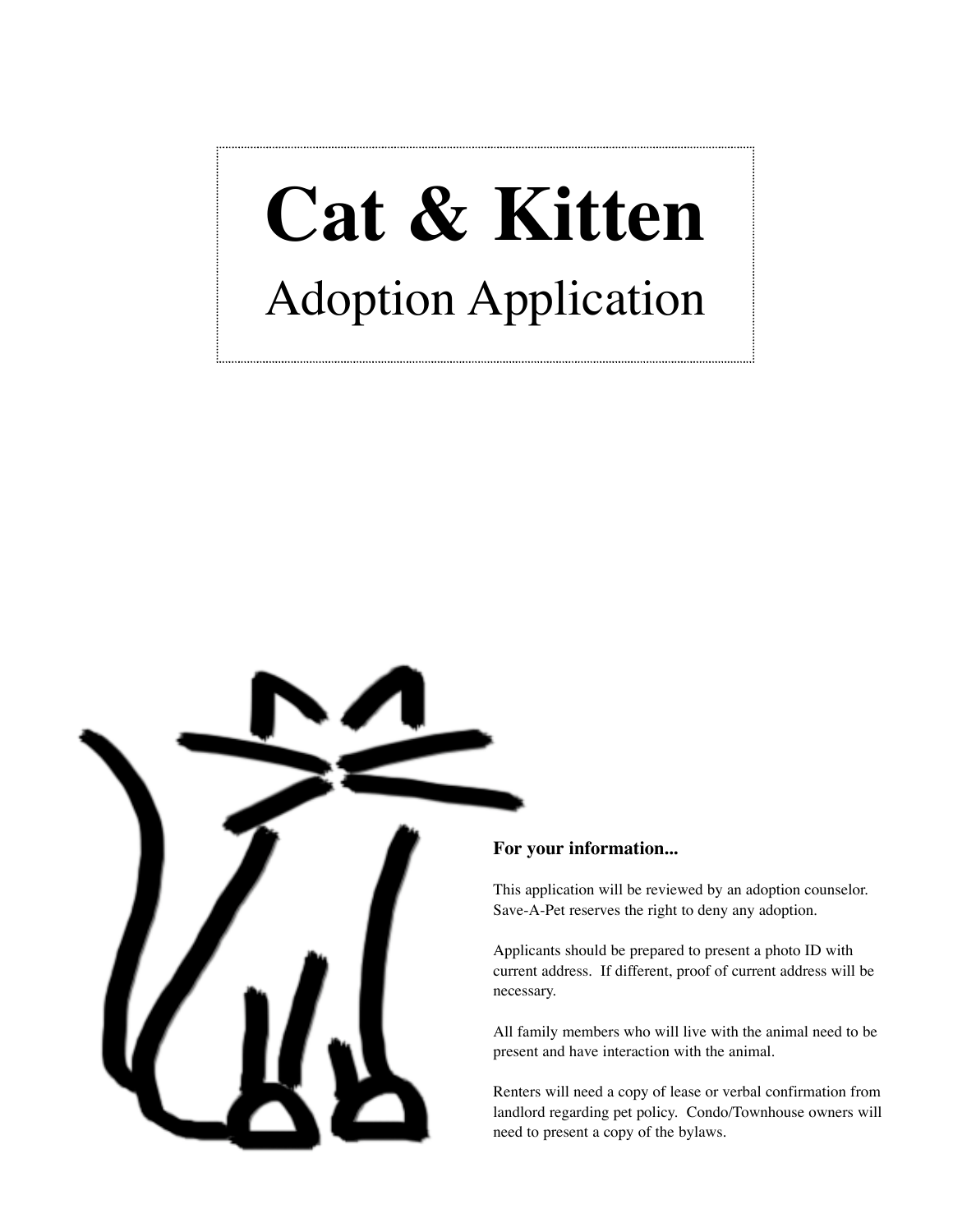## **Cat & Kitten** Adoption Application



## **For your information...**

This application will be reviewed by an adoption counselor. Save-A-Pet reserves the right to deny any adoption.

Applicants should be prepared to present a photo ID with current address. If different, proof of current address will be necessary.

All family members who will live with the animal need to be present and have interaction with the animal.

Renters will need a copy of lease or verbal confirmation from landlord regarding pet policy. Condo/Townhouse owners will need to present a copy of the bylaws.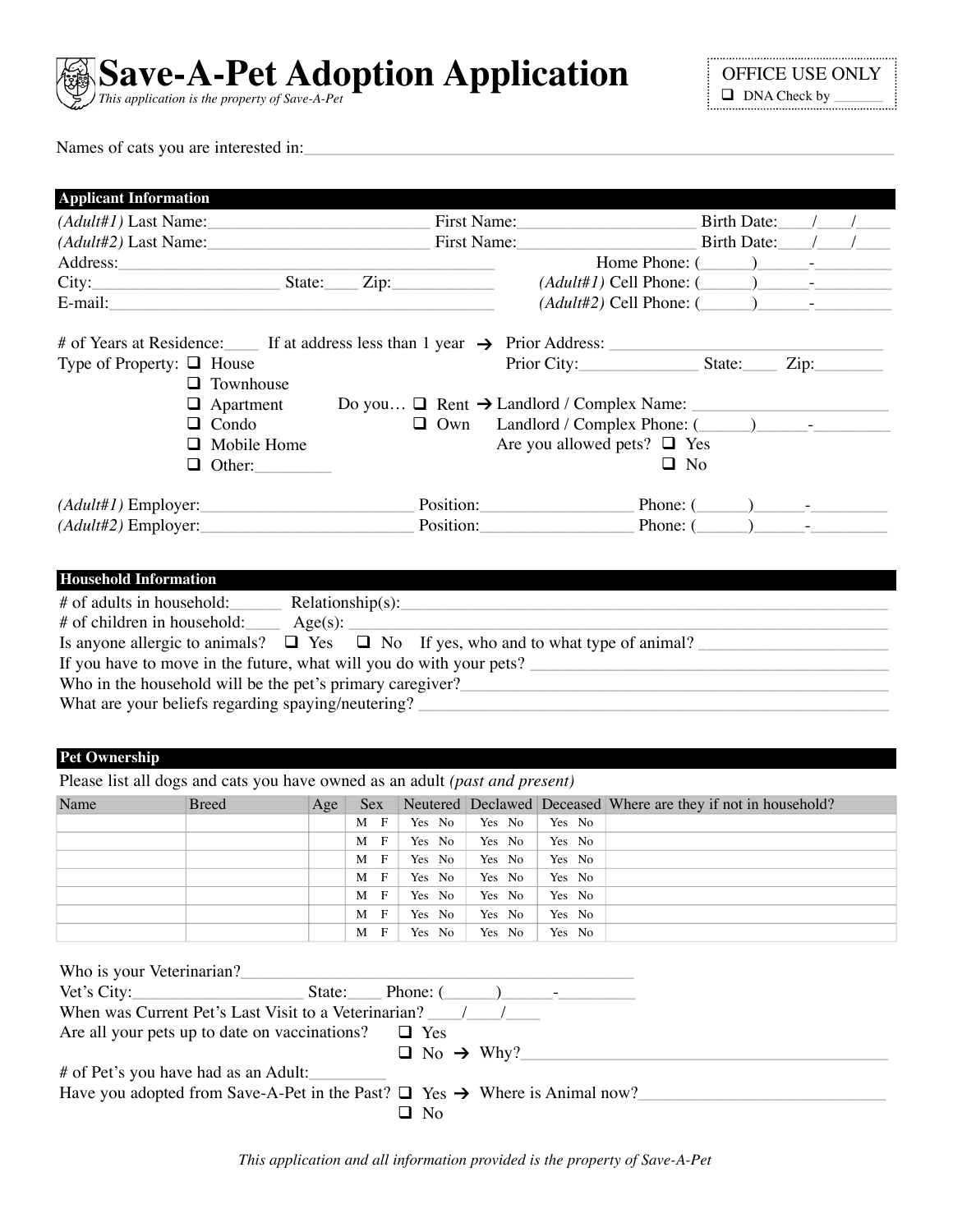

Names of cats you are interested in:

| $(Adult#1)$ Last Name:                                                                       |                                                           | First Name:                                            | Birth Date: |  |
|----------------------------------------------------------------------------------------------|-----------------------------------------------------------|--------------------------------------------------------|-------------|--|
| $(Adult#2)$ Last Name:                                                                       |                                                           | First Name:                                            | Birth Date: |  |
|                                                                                              |                                                           | Home Phone: $(\_\_)$                                   |             |  |
| City:                                                                                        | $State:$ $Zip:$                                           | $(Adult#1)$ Cell Phone: $(\_\_\_\_\_\_\_\_\_\_$        |             |  |
| E-mail:                                                                                      |                                                           | $(Adult#2)$ Cell Phone: $($                            |             |  |
| # of Years at Residence: $\quad$ If at address less than 1 year $\rightarrow$ Prior Address: |                                                           |                                                        |             |  |
| Type of Property: $\Box$ House                                                               |                                                           | Prior City: State:                                     |             |  |
| $\Box$ Townhouse                                                                             |                                                           |                                                        |             |  |
| $\Box$ Apartment                                                                             | Do you $\Box$ Rent $\rightarrow$ Landlord / Complex Name: |                                                        |             |  |
| $\Box$ Condo                                                                                 |                                                           | $\Box$ Own Landlord / Complex Phone: $(\_\_\_\_\_\_\_$ |             |  |
| $\Box$ Mobile Home                                                                           |                                                           | Are you allowed pets? $\Box$ Yes                       |             |  |
| $\Box$ Other:                                                                                |                                                           | $\Box$ No                                              |             |  |
| $(Adult#1)$ Employer:                                                                        |                                                           | Phone: (                                               |             |  |
| $(Adult#2)$ Employer:                                                                        | Position: Position:                                       | Phone: (                                               |             |  |

| # of adults in household:                                           | Relationship(s): |                                                                                             |  |  |  |  |  |
|---------------------------------------------------------------------|------------------|---------------------------------------------------------------------------------------------|--|--|--|--|--|
| # of children in household:                                         | Age(s):          |                                                                                             |  |  |  |  |  |
|                                                                     |                  | Is anyone allergic to animals? $\Box$ Yes $\Box$ No If yes, who and to what type of animal? |  |  |  |  |  |
| If you have to move in the future, what will you do with your pets? |                  |                                                                                             |  |  |  |  |  |
| Who in the household will be the pet's primary caregiver?           |                  |                                                                                             |  |  |  |  |  |
| What are your beliefs regarding spaying/neutering?                  |                  |                                                                                             |  |  |  |  |  |
|                                                                     |                  |                                                                                             |  |  |  |  |  |

## **Pet Ownership**

Please list all dogs and cats you have owned as an adult *(past and present)*

| Name | <b>Breed</b> | Age | Sex -             |        |        |        | Neutered Declawed Deceased Where are they if not in household? |
|------|--------------|-----|-------------------|--------|--------|--------|----------------------------------------------------------------|
|      |              |     | $\mathbf{F}$<br>M | Yes No | Yes No | Yes No |                                                                |
|      |              |     | $\mathbf{F}$<br>M | Yes No | Yes No | Yes No |                                                                |
|      |              |     | $\mathbf{F}$<br>M | Yes No | Yes No | Yes No |                                                                |
|      |              |     | $\mathbf{F}$<br>M | Yes No | Yes No | Yes No |                                                                |
|      |              |     | $\mathbf{F}$<br>M | Yes No | Yes No | Yes No |                                                                |
|      |              |     | $\mathbf{F}$<br>M | Yes No | Yes No | Yes No |                                                                |
|      |              |     | $\mathbf{F}$<br>M | Yes No | Yes No | Yes No |                                                                |

| Who is your Veterinarian?                                                                   |     |                              |  |
|---------------------------------------------------------------------------------------------|-----|------------------------------|--|
| Vet's City: State: Phone: $(\_\_\_\_\_\_$ Phone: $(\_\_\_\_\_\_$                            |     |                              |  |
| When was Current Pet's Last Visit to a Veterinarian? /                                      |     |                              |  |
| Are all your pets up to date on vaccinations? $\square$ Yes                                 |     |                              |  |
|                                                                                             |     | $\Box$ No $\rightarrow$ Why? |  |
| # of Pet's you have had as an Adult:                                                        |     |                              |  |
| Have you adopted from Save-A-Pet in the Past? $\Box$ Yes $\rightarrow$ Where is Animal now? |     |                              |  |
|                                                                                             | ⊟No |                              |  |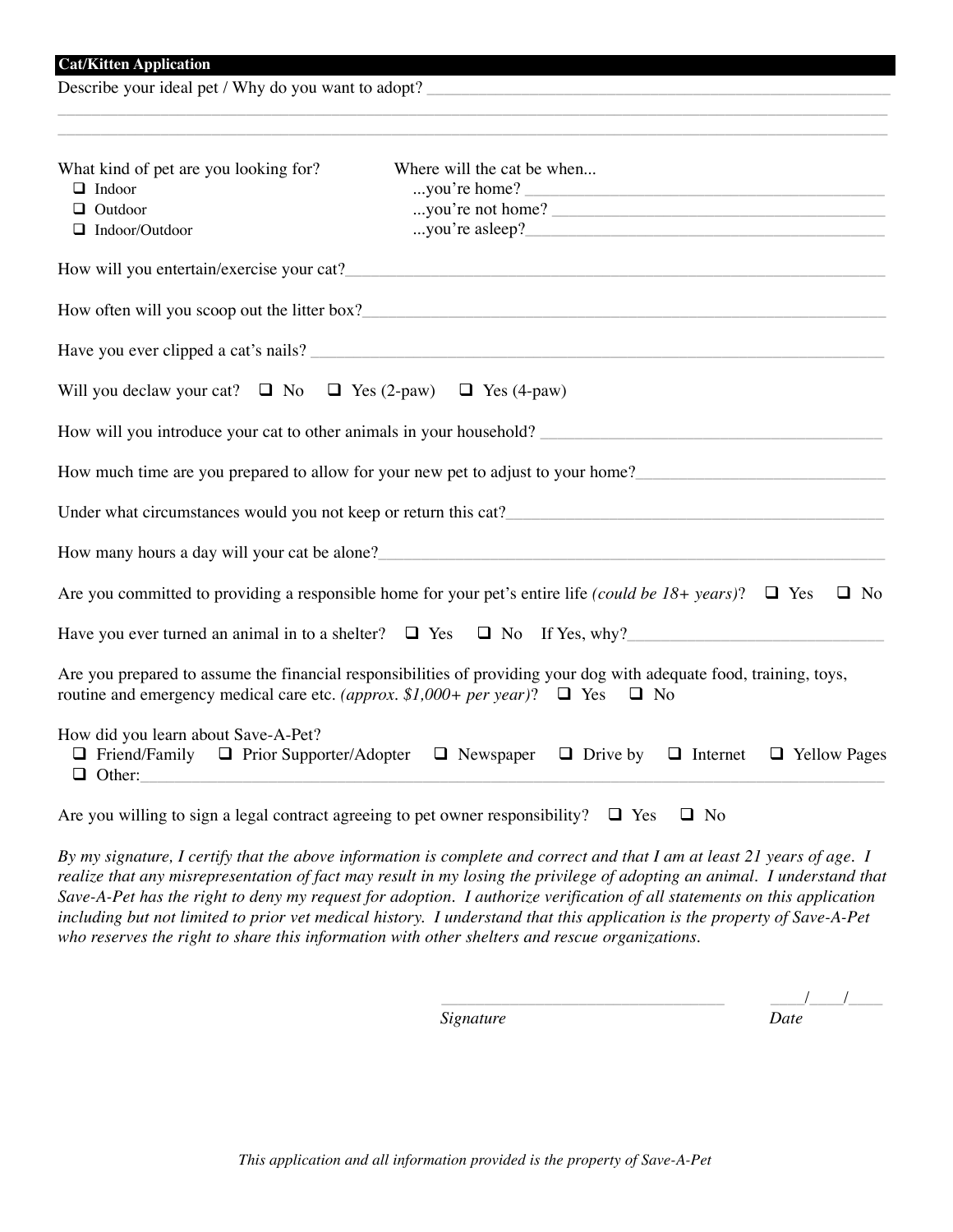Describe your ideal pet / Why do you want to adopt?

| What kind of pet are you looking for?<br>$\Box$ Indoor                    | Where will the cat be when                                                                                                                                                                                                      |
|---------------------------------------------------------------------------|---------------------------------------------------------------------------------------------------------------------------------------------------------------------------------------------------------------------------------|
| $\Box$ Outdoor                                                            | you're home?<br>you're not home?                                                                                                                                                                                                |
| $\Box$ Indoor/Outdoor                                                     |                                                                                                                                                                                                                                 |
|                                                                           | How will you entertain/exercise your cat?                                                                                                                                                                                       |
|                                                                           |                                                                                                                                                                                                                                 |
|                                                                           |                                                                                                                                                                                                                                 |
| Will you declaw your cat? $\Box$ No $\Box$ Yes (2-paw) $\Box$ Yes (4-paw) |                                                                                                                                                                                                                                 |
|                                                                           | How will you introduce your cat to other animals in your household?                                                                                                                                                             |
|                                                                           | How much time are you prepared to allow for your new pet to adjust to your home?                                                                                                                                                |
|                                                                           | Under what circumstances would you not keep or return this cat?<br>The same strategy and the contract of the strategy and the strategy and the strategy and the strategy and the strategy and the strategy and the strategy and |
|                                                                           | How many hours a day will your cat be alone?                                                                                                                                                                                    |
|                                                                           | Are you committed to providing a responsible home for your pet's entire life (could be 18+ years)? $\Box$ Yes<br>$\Box$ No                                                                                                      |
|                                                                           | Have you ever turned an animal in to a shelter? $\Box$ Yes $\Box$ No If Yes, why?                                                                                                                                               |
|                                                                           | Are you prepared to assume the financial responsibilities of providing your dog with adequate food, training, toys,<br>routine and emergency medical care etc. (approx. \$1,000+ per year)? $\Box$ Yes $\Box$ No                |
| How did you learn about Save-A-Pet?                                       | $\Box$ Friend/Family $\Box$ Prior Supporter/Adopter $\Box$ Newspaper $\Box$ Drive by $\Box$ Internet $\Box$ Yellow Pages                                                                                                        |

\_\_\_\_\_\_\_\_\_\_\_\_\_\_\_\_\_\_\_\_\_\_\_\_\_\_\_\_\_\_\_\_\_\_\_\_\_\_\_\_\_\_\_\_\_\_\_\_\_\_\_\_\_\_\_\_\_\_\_\_\_\_\_\_\_\_\_\_\_\_\_\_\_\_\_\_\_\_\_\_\_\_\_\_\_\_\_\_\_\_\_\_\_\_\_\_\_

*By my signature, I certify that the above information is complete and correct and that I am at least 21 years of age. I realize that any misrepresentation of fact may result in my losing the privilege of adopting an animal. I understand that Save-A-Pet has the right to deny my request for adoption. I authorize verification of all statements on this application including but not limited to prior vet medical history. I understand that this application is the property of Save-A-Pet who reserves the right to share this information with other shelters and rescue organizations.*

*Signature Date* .

\_\_\_\_\_\_\_\_\_\_\_\_\_\_\_\_\_\_\_\_\_\_\_\_\_\_\_\_\_\_\_\_\_ \_\_\_\_/\_\_\_\_/\_\_\_\_ .